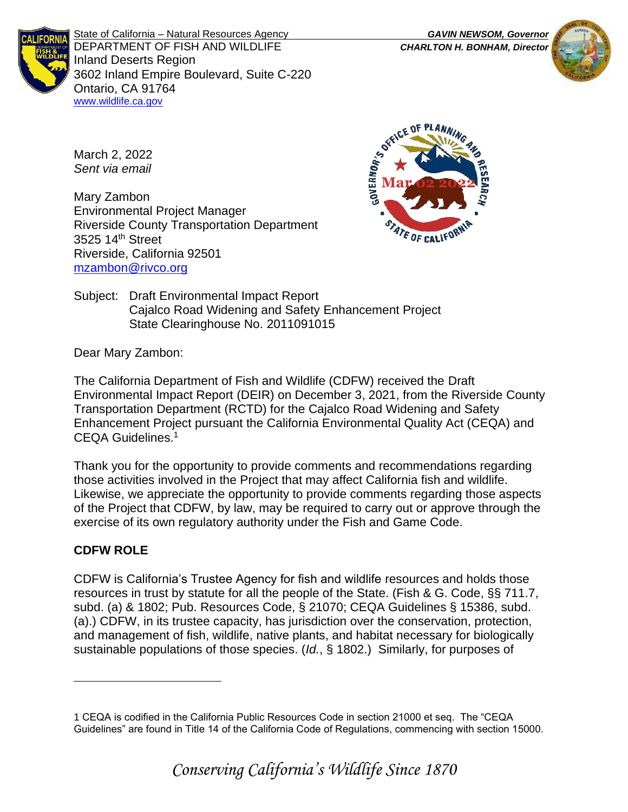

State of California – Natural Resources Agency *GAVIN NEWSOM, Governor* DEPARTMENT OF FISH AND WILDLIFE *CHARLTON H. BONHAM, Director*  Inland Deserts Region 3602 Inland Empire Boulevard, Suite C-220 Ontario, CA 91764 [www.wildlife.ca.gov](http://www.wildlife.ca.gov/)



March 2, 2022 *Sent via email*

Mary Zambon Environmental Project Manager Riverside County Transportation Department 3525 14<sup>th</sup> Street Riverside, California 92501 [mzambon@rivco.org](mailto:mzambon@rivco.org)



Subject: Draft Environmental Impact Report Cajalco Road Widening and Safety Enhancement Project State Clearinghouse No. 2011091015

Dear Mary Zambon:

The California Department of Fish and Wildlife (CDFW) received the Draft Environmental Impact Report (DEIR) on December 3, 2021, from the Riverside County Transportation Department (RCTD) for the Cajalco Road Widening and Safety Enhancement Project pursuant the California Environmental Quality Act (CEQA) and CEQA Guidelines.<sup>1</sup>

Thank you for the opportunity to provide comments and recommendations regarding those activities involved in the Project that may affect California fish and wildlife. Likewise, we appreciate the opportunity to provide comments regarding those aspects of the Project that CDFW, by law, may be required to carry out or approve through the exercise of its own regulatory authority under the Fish and Game Code.

# **CDFW ROLE**

CDFW is California's Trustee Agency for fish and wildlife resources and holds those resources in trust by statute for all the people of the State. (Fish & G. Code, §§ 711.7, subd. (a) & 1802; Pub. Resources Code, § 21070; CEQA Guidelines § 15386, subd. (a).) CDFW, in its trustee capacity, has jurisdiction over the conservation, protection, and management of fish, wildlife, native plants, and habitat necessary for biologically sustainable populations of those species. (*Id.*, § 1802.) Similarly, for purposes of

<sup>1</sup> CEQA is codified in the California Public Resources Code in section 21000 et seq. The "CEQA Guidelines" are found in Title 14 of the California Code of Regulations, commencing with section 15000.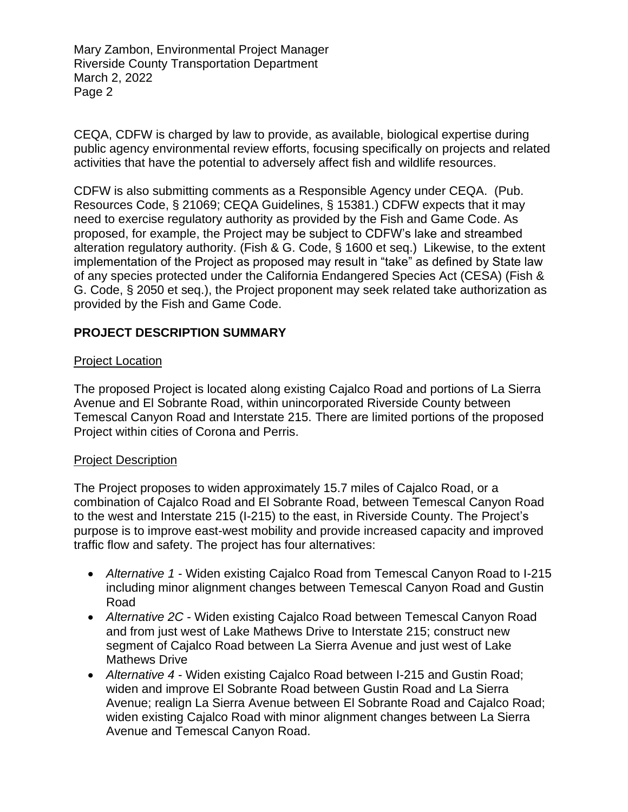CEQA, CDFW is charged by law to provide, as available, biological expertise during public agency environmental review efforts, focusing specifically on projects and related activities that have the potential to adversely affect fish and wildlife resources.

CDFW is also submitting comments as a Responsible Agency under CEQA. (Pub. Resources Code, § 21069; CEQA Guidelines, § 15381.) CDFW expects that it may need to exercise regulatory authority as provided by the Fish and Game Code. As proposed, for example, the Project may be subject to CDFW's lake and streambed alteration regulatory authority. (Fish & G. Code, § 1600 et seq.) Likewise, to the extent implementation of the Project as proposed may result in "take" as defined by State law of any species protected under the California Endangered Species Act (CESA) (Fish & G. Code, § 2050 et seq.), the Project proponent may seek related take authorization as provided by the Fish and Game Code.

# **PROJECT DESCRIPTION SUMMARY**

#### Project Location

The proposed Project is located along existing Cajalco Road and portions of La Sierra Avenue and El Sobrante Road, within unincorporated Riverside County between Temescal Canyon Road and Interstate 215. There are limited portions of the proposed Project within cities of Corona and Perris.

### Project Description

The Project proposes to widen approximately 15.7 miles of Cajalco Road, or a combination of Cajalco Road and El Sobrante Road, between Temescal Canyon Road to the west and Interstate 215 (I-215) to the east, in Riverside County. The Project's purpose is to improve east-west mobility and provide increased capacity and improved traffic flow and safety. The project has four alternatives:

- *Alternative 1* Widen existing Cajalco Road from Temescal Canyon Road to I-215 including minor alignment changes between Temescal Canyon Road and Gustin Road
- *Alternative 2C* Widen existing Cajalco Road between Temescal Canyon Road and from just west of Lake Mathews Drive to Interstate 215; construct new segment of Cajalco Road between La Sierra Avenue and just west of Lake Mathews Drive
- *Alternative 4* Widen existing Cajalco Road between I-215 and Gustin Road; widen and improve El Sobrante Road between Gustin Road and La Sierra Avenue; realign La Sierra Avenue between El Sobrante Road and Cajalco Road; widen existing Cajalco Road with minor alignment changes between La Sierra Avenue and Temescal Canyon Road.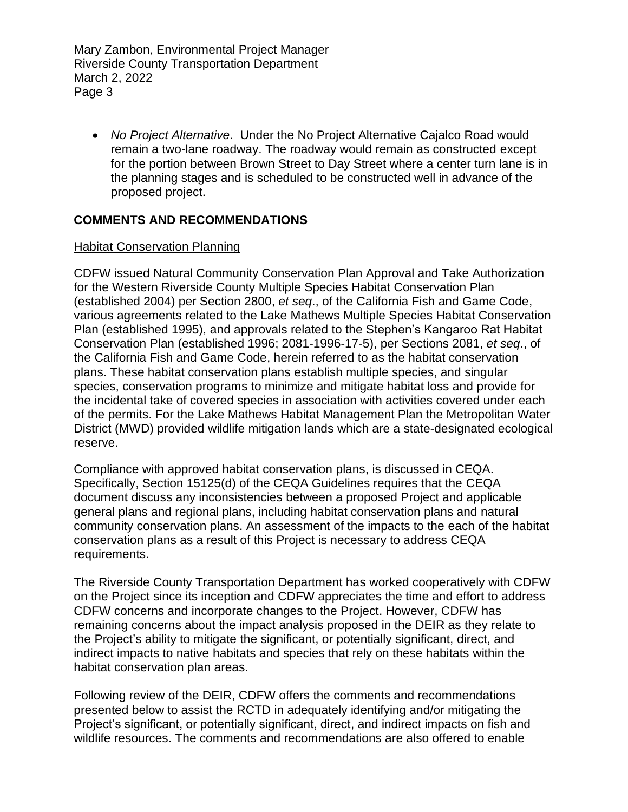• *No Project Alternative*. Under the No Project Alternative Cajalco Road would remain a two-lane roadway. The roadway would remain as constructed except for the portion between Brown Street to Day Street where a center turn lane is in the planning stages and is scheduled to be constructed well in advance of the proposed project.

### **COMMENTS AND RECOMMENDATIONS**

#### Habitat Conservation Planning

CDFW issued Natural Community Conservation Plan Approval and Take Authorization for the Western Riverside County Multiple Species Habitat Conservation Plan (established 2004) per Section 2800, *et seq*., of the California Fish and Game Code, various agreements related to the Lake Mathews Multiple Species Habitat Conservation Plan (established 1995), and approvals related to the Stephen's Kangaroo Rat Habitat Conservation Plan (established 1996; 2081-1996-17-5), per Sections 2081, *et seq*., of the California Fish and Game Code, herein referred to as the habitat conservation plans. These habitat conservation plans establish multiple species, and singular species, conservation programs to minimize and mitigate habitat loss and provide for the incidental take of covered species in association with activities covered under each of the permits. For the Lake Mathews Habitat Management Plan the Metropolitan Water District (MWD) provided wildlife mitigation lands which are a state-designated ecological reserve.

Compliance with approved habitat conservation plans, is discussed in CEQA. Specifically, Section 15125(d) of the CEQA Guidelines requires that the CEQA document discuss any inconsistencies between a proposed Project and applicable general plans and regional plans, including habitat conservation plans and natural community conservation plans. An assessment of the impacts to the each of the habitat conservation plans as a result of this Project is necessary to address CEQA requirements.

The Riverside County Transportation Department has worked cooperatively with CDFW on the Project since its inception and CDFW appreciates the time and effort to address CDFW concerns and incorporate changes to the Project. However, CDFW has remaining concerns about the impact analysis proposed in the DEIR as they relate to the Project's ability to mitigate the significant, or potentially significant, direct, and indirect impacts to native habitats and species that rely on these habitats within the habitat conservation plan areas.

Following review of the DEIR, CDFW offers the comments and recommendations presented below to assist the RCTD in adequately identifying and/or mitigating the Project's significant, or potentially significant, direct, and indirect impacts on fish and wildlife resources. The comments and recommendations are also offered to enable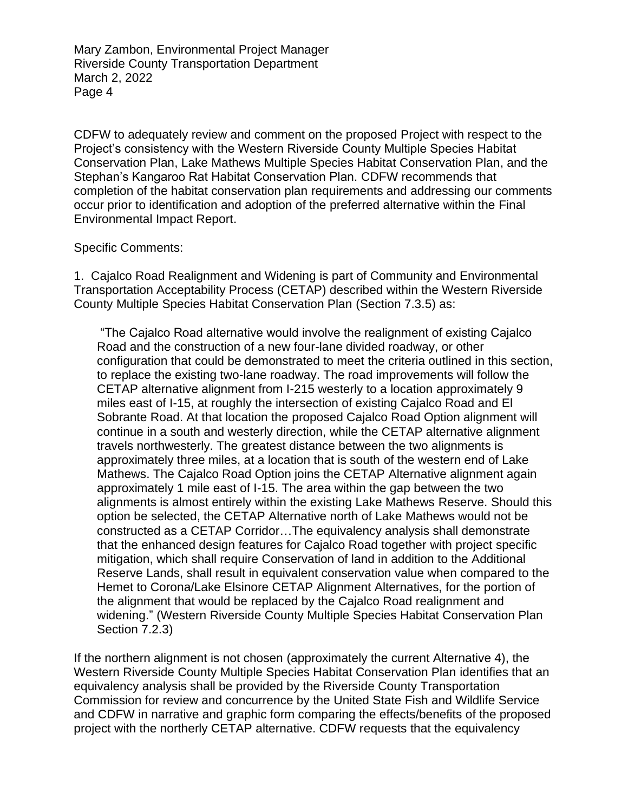CDFW to adequately review and comment on the proposed Project with respect to the Project's consistency with the Western Riverside County Multiple Species Habitat Conservation Plan, Lake Mathews Multiple Species Habitat Conservation Plan, and the Stephan's Kangaroo Rat Habitat Conservation Plan. CDFW recommends that completion of the habitat conservation plan requirements and addressing our comments occur prior to identification and adoption of the preferred alternative within the Final Environmental Impact Report.

#### Specific Comments:

1. Cajalco Road Realignment and Widening is part of Community and Environmental Transportation Acceptability Process (CETAP) described within the Western Riverside County Multiple Species Habitat Conservation Plan (Section 7.3.5) as:

"The Cajalco Road alternative would involve the realignment of existing Cajalco Road and the construction of a new four-lane divided roadway, or other configuration that could be demonstrated to meet the criteria outlined in this section, to replace the existing two-lane roadway. The road improvements will follow the CETAP alternative alignment from I-215 westerly to a location approximately 9 miles east of I-15, at roughly the intersection of existing Cajalco Road and El Sobrante Road. At that location the proposed Cajalco Road Option alignment will continue in a south and westerly direction, while the CETAP alternative alignment travels northwesterly. The greatest distance between the two alignments is approximately three miles, at a location that is south of the western end of Lake Mathews. The Cajalco Road Option joins the CETAP Alternative alignment again approximately 1 mile east of I-15. The area within the gap between the two alignments is almost entirely within the existing Lake Mathews Reserve. Should this option be selected, the CETAP Alternative north of Lake Mathews would not be constructed as a CETAP Corridor…The equivalency analysis shall demonstrate that the enhanced design features for Cajalco Road together with project specific mitigation, which shall require Conservation of land in addition to the Additional Reserve Lands, shall result in equivalent conservation value when compared to the Hemet to Corona/Lake Elsinore CETAP Alignment Alternatives, for the portion of the alignment that would be replaced by the Cajalco Road realignment and widening." (Western Riverside County Multiple Species Habitat Conservation Plan Section 7.2.3)

If the northern alignment is not chosen (approximately the current Alternative 4), the Western Riverside County Multiple Species Habitat Conservation Plan identifies that an equivalency analysis shall be provided by the Riverside County Transportation Commission for review and concurrence by the United State Fish and Wildlife Service and CDFW in narrative and graphic form comparing the effects/benefits of the proposed project with the northerly CETAP alternative. CDFW requests that the equivalency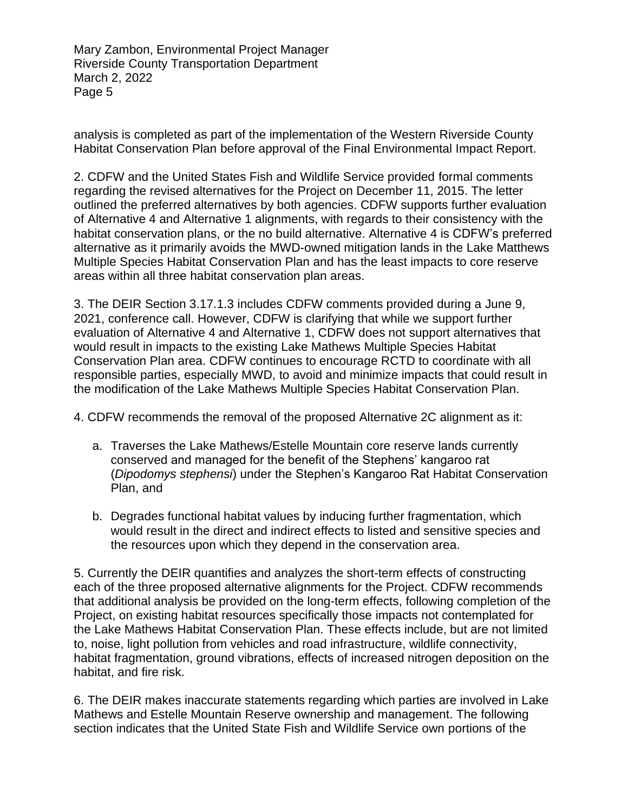analysis is completed as part of the implementation of the Western Riverside County Habitat Conservation Plan before approval of the Final Environmental Impact Report.

2. CDFW and the United States Fish and Wildlife Service provided formal comments regarding the revised alternatives for the Project on December 11, 2015. The letter outlined the preferred alternatives by both agencies. CDFW supports further evaluation of Alternative 4 and Alternative 1 alignments, with regards to their consistency with the habitat conservation plans, or the no build alternative. Alternative 4 is CDFW's preferred alternative as it primarily avoids the MWD-owned mitigation lands in the Lake Matthews Multiple Species Habitat Conservation Plan and has the least impacts to core reserve areas within all three habitat conservation plan areas.

3. The DEIR Section 3.17.1.3 includes CDFW comments provided during a June 9, 2021, conference call. However, CDFW is clarifying that while we support further evaluation of Alternative 4 and Alternative 1, CDFW does not support alternatives that would result in impacts to the existing Lake Mathews Multiple Species Habitat Conservation Plan area. CDFW continues to encourage RCTD to coordinate with all responsible parties, especially MWD, to avoid and minimize impacts that could result in the modification of the Lake Mathews Multiple Species Habitat Conservation Plan.

4. CDFW recommends the removal of the proposed Alternative 2C alignment as it:

- a. Traverses the Lake Mathews/Estelle Mountain core reserve lands currently conserved and managed for the benefit of the Stephens' kangaroo rat (*Dipodomys stephensi*) under the Stephen's Kangaroo Rat Habitat Conservation Plan, and
- b. Degrades functional habitat values by inducing further fragmentation, which would result in the direct and indirect effects to listed and sensitive species and the resources upon which they depend in the conservation area.

5. Currently the DEIR quantifies and analyzes the short-term effects of constructing each of the three proposed alternative alignments for the Project. CDFW recommends that additional analysis be provided on the long-term effects, following completion of the Project, on existing habitat resources specifically those impacts not contemplated for the Lake Mathews Habitat Conservation Plan. These effects include, but are not limited to, noise, light pollution from vehicles and road infrastructure, wildlife connectivity, habitat fragmentation, ground vibrations, effects of increased nitrogen deposition on the habitat, and fire risk.

6. The DEIR makes inaccurate statements regarding which parties are involved in Lake Mathews and Estelle Mountain Reserve ownership and management. The following section indicates that the United State Fish and Wildlife Service own portions of the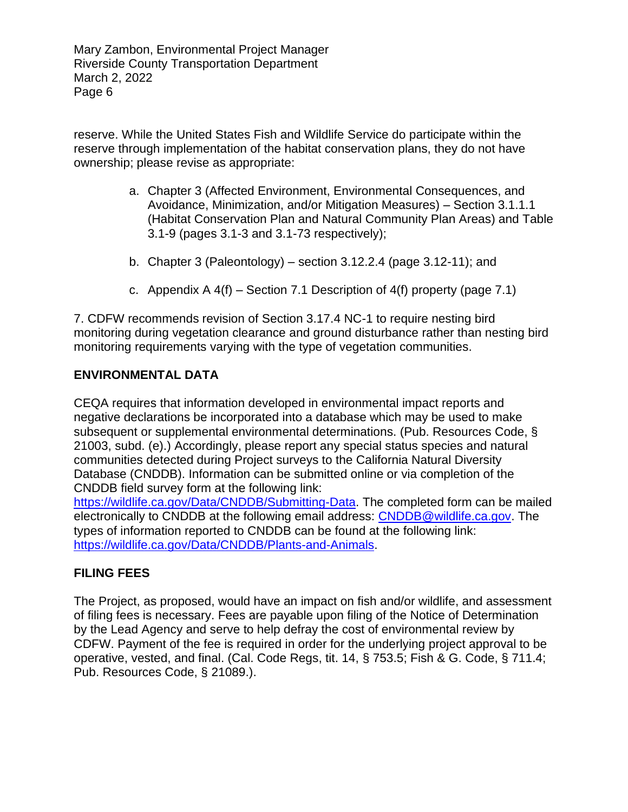reserve. While the United States Fish and Wildlife Service do participate within the reserve through implementation of the habitat conservation plans, they do not have ownership; please revise as appropriate:

- a. Chapter 3 (Affected Environment, Environmental Consequences, and Avoidance, Minimization, and/or Mitigation Measures) – Section 3.1.1.1 (Habitat Conservation Plan and Natural Community Plan Areas) and Table 3.1-9 (pages 3.1-3 and 3.1-73 respectively);
- b. Chapter 3 (Paleontology) section  $3.12.2.4$  (page  $3.12-11$ ); and
- c. Appendix  $A 4(f)$  Section 7.1 Description of  $4(f)$  property (page 7.1)

7. CDFW recommends revision of Section 3.17.4 NC-1 to require nesting bird monitoring during vegetation clearance and ground disturbance rather than nesting bird monitoring requirements varying with the type of vegetation communities.

### **ENVIRONMENTAL DATA**

CEQA requires that information developed in environmental impact reports and negative declarations be incorporated into a database which may be used to make subsequent or supplemental environmental determinations. (Pub. Resources Code, § 21003, subd. (e).) Accordingly, please report any special status species and natural communities detected during Project surveys to the California Natural Diversity Database (CNDDB). Information can be submitted online or via completion of the CNDDB field survey form at the following link:

[https://wildlife.ca.gov/Data/CNDDB/Submitting-Data.](https://wildlife.ca.gov/Data/CNDDB/Submitting-Data) The completed form can be mailed electronically to CNDDB at the following email address: [CNDDB@wildlife.ca.gov.](mailto:cnddb@dfg.ca.gov) The types of information reported to CNDDB can be found at the following link: [https://wildlife.ca.gov/Data/CNDDB/Plants-and-Animals.](https://wildlife.ca.gov/Data/CNDDB/Plants-and-Animals)

# **FILING FEES**

The Project, as proposed, would have an impact on fish and/or wildlife, and assessment of filing fees is necessary. Fees are payable upon filing of the Notice of Determination by the Lead Agency and serve to help defray the cost of environmental review by CDFW. Payment of the fee is required in order for the underlying project approval to be operative, vested, and final. (Cal. Code Regs, tit. 14, § 753.5; Fish & G. Code, § 711.4; Pub. Resources Code, § 21089.).